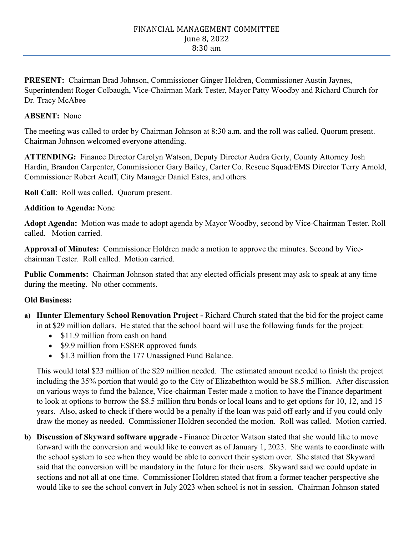#### FINANCIAL MANAGEMENT COMMITTEE June 8, 2022 8:30 am

**PRESENT:** Chairman Brad Johnson, Commissioner Ginger Holdren, Commissioner Austin Jaynes, Superintendent Roger Colbaugh, Vice-Chairman Mark Tester, Mayor Patty Woodby and Richard Church for Dr. Tracy McAbee

### **ABSENT:** None

The meeting was called to order by Chairman Johnson at 8:30 a.m. and the roll was called. Quorum present. Chairman Johnson welcomed everyone attending.

**ATTENDING:** Finance Director Carolyn Watson, Deputy Director Audra Gerty, County Attorney Josh Hardin, Brandon Carpenter, Commissioner Gary Bailey, Carter Co. Rescue Squad/EMS Director Terry Arnold, Commissioner Robert Acuff, City Manager Daniel Estes, and others.

**Roll Call**: Roll was called. Quorum present.

#### **Addition to Agenda:** None

**Adopt Agenda:** Motion was made to adopt agenda by Mayor Woodby, second by Vice-Chairman Tester. Roll called. Motion carried.

**Approval of Minutes:** Commissioner Holdren made a motion to approve the minutes. Second by Vicechairman Tester. Roll called. Motion carried.

**Public Comments:** Chairman Johnson stated that any elected officials present may ask to speak at any time during the meeting. No other comments.

## **Old Business:**

- **a) Hunter Elementary School Renovation Project -** Richard Church stated that the bid for the project came in at \$29 million dollars. He stated that the school board will use the following funds for the project:
	- \$11.9 million from cash on hand
	- \$9.9 million from ESSER approved funds
	- \$1.3 million from the 177 Unassigned Fund Balance.

This would total \$23 million of the \$29 million needed. The estimated amount needed to finish the project including the 35% portion that would go to the City of Elizabethton would be \$8.5 million. After discussion on various ways to fund the balance, Vice-chairman Tester made a motion to have the Finance department to look at options to borrow the \$8.5 million thru bonds or local loans and to get options for 10, 12, and 15 years. Also, asked to check if there would be a penalty if the loan was paid off early and if you could only draw the money as needed. Commissioner Holdren seconded the motion. Roll was called. Motion carried.

**b) Discussion of Skyward software upgrade -** Finance Director Watson stated that she would like to move forward with the conversion and would like to convert as of January 1, 2023. She wants to coordinate with the school system to see when they would be able to convert their system over. She stated that Skyward said that the conversion will be mandatory in the future for their users. Skyward said we could update in sections and not all at one time. Commissioner Holdren stated that from a former teacher perspective she would like to see the school convert in July 2023 when school is not in session. Chairman Johnson stated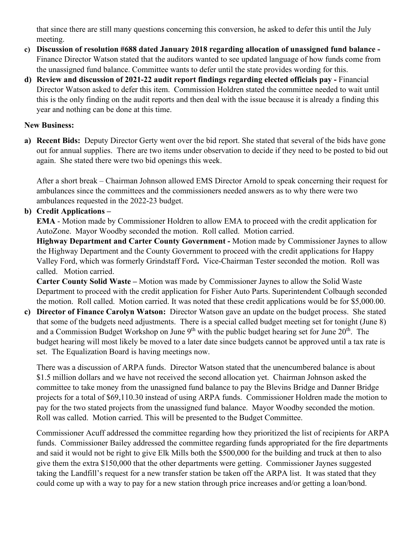that since there are still many questions concerning this conversion, he asked to defer this until the July meeting.

- **c) Discussion of resolution #688 dated January 2018 regarding allocation of unassigned fund balance -** Finance Director Watson stated that the auditors wanted to see updated language of how funds come from the unassigned fund balance. Committee wants to defer until the state provides wording for this.
- **d) Review and discussion of 2021-22 audit report findings regarding elected officials pay -** Financial Director Watson asked to defer this item. Commission Holdren stated the committee needed to wait until this is the only finding on the audit reports and then deal with the issue because it is already a finding this year and nothing can be done at this time.

## **New Business:**

**a) Recent Bids:** Deputy Director Gerty went over the bid report. She stated that several of the bids have gone out for annual supplies. There are two items under observation to decide if they need to be posted to bid out again. She stated there were two bid openings this week.

After a short break – Chairman Johnson allowed EMS Director Arnold to speak concerning their request for ambulances since the committees and the commissioners needed answers as to why there were two ambulances requested in the 2022-23 budget.

# **b) Credit Applications –**

**EMA** - Motion made by Commissioner Holdren to allow EMA to proceed with the credit application for AutoZone. Mayor Woodby seconded the motion. Roll called. Motion carried.

**Highway Department and Carter County Government -** Motion made by Commissioner Jaynes to allow the Highway Department and the County Government to proceed with the credit applications for Happy Valley Ford, which was formerly Grindstaff Ford**.** Vice-Chairman Tester seconded the motion. Roll was called. Motion carried.

**Carter County Solid Waste –** Motion was made by Commissioner Jaynes to allow the Solid Waste Department to proceed with the credit application for Fisher Auto Parts. Superintendent Colbaugh seconded the motion. Roll called. Motion carried. It was noted that these credit applications would be for \$5,000.00.

**c) Director of Finance Carolyn Watson:** Director Watson gave an update on the budget process. She stated that some of the budgets need adjustments. There is a special called budget meeting set for tonight (June 8) and a Commission Budget Workshop on June  $9<sup>th</sup>$  with the public budget hearing set for June  $20<sup>th</sup>$ . The budget hearing will most likely be moved to a later date since budgets cannot be approved until a tax rate is set. The Equalization Board is having meetings now.

There was a discussion of ARPA funds. Director Watson stated that the unencumbered balance is about \$1.5 million dollars and we have not received the second allocation yet. Chairman Johnson asked the committee to take money from the unassigned fund balance to pay the Blevins Bridge and Danner Bridge projects for a total of \$69,110.30 instead of using ARPA funds. Commissioner Holdren made the motion to pay for the two stated projects from the unassigned fund balance. Mayor Woodby seconded the motion. Roll was called. Motion carried. This will be presented to the Budget Committee.

Commissioner Acuff addressed the committee regarding how they prioritized the list of recipients for ARPA funds. Commissioner Bailey addressed the committee regarding funds appropriated for the fire departments and said it would not be right to give Elk Mills both the \$500,000 for the building and truck at then to also give them the extra \$150,000 that the other departments were getting. Commissioner Jaynes suggested taking the Landfill's request for a new transfer station be taken off the ARPA list. It was stated that they could come up with a way to pay for a new station through price increases and/or getting a loan/bond.